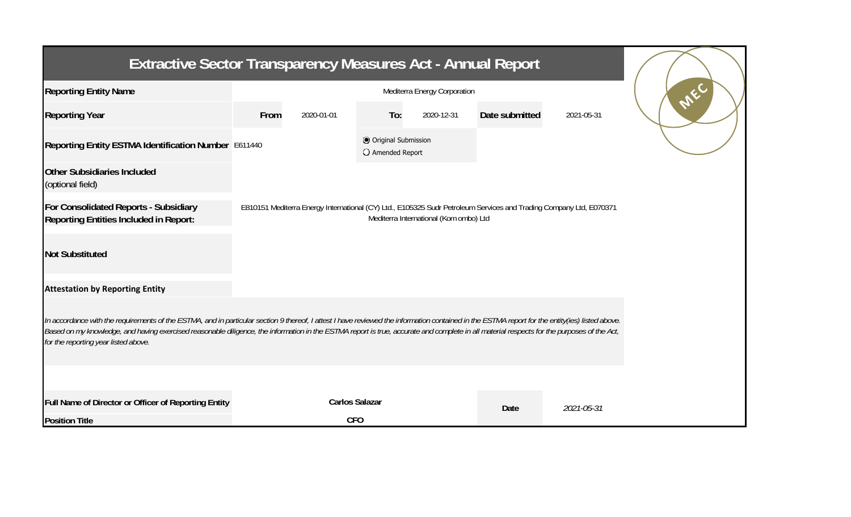| <b>Extractive Sector Transparency Measures Act - Annual Report</b>                                                                                                                                                                                                                                                                                                                                                                    |      |                       |                                           |            |                |            |  |  |  |  |
|---------------------------------------------------------------------------------------------------------------------------------------------------------------------------------------------------------------------------------------------------------------------------------------------------------------------------------------------------------------------------------------------------------------------------------------|------|-----------------------|-------------------------------------------|------------|----------------|------------|--|--|--|--|
| <b>Reporting Entity Name</b>                                                                                                                                                                                                                                                                                                                                                                                                          |      |                       |                                           |            |                |            |  |  |  |  |
| <b>Reporting Year</b>                                                                                                                                                                                                                                                                                                                                                                                                                 | From | 2020-01-01            | To:                                       | 2020-12-31 | Date submitted | 2021-05-31 |  |  |  |  |
| Reporting Entity ESTMA Identification Number E611440                                                                                                                                                                                                                                                                                                                                                                                  |      |                       | O Original Submission<br>O Amended Report |            |                |            |  |  |  |  |
| <b>Other Subsidiaries Included</b><br>(optional field)                                                                                                                                                                                                                                                                                                                                                                                |      |                       |                                           |            |                |            |  |  |  |  |
| For Consolidated Reports - Subsidiary<br>E810151 Mediterra Energy International (CY) Ltd., E105325 Sudr Petroleum Services and Trading Company Ltd, E070371<br>Mediterra International (Kom ombo) Ltd<br><b>Reporting Entities Included in Report:</b>                                                                                                                                                                                |      |                       |                                           |            |                |            |  |  |  |  |
| <b>Not Substituted</b>                                                                                                                                                                                                                                                                                                                                                                                                                |      |                       |                                           |            |                |            |  |  |  |  |
| <b>Attestation by Reporting Entity</b>                                                                                                                                                                                                                                                                                                                                                                                                |      |                       |                                           |            |                |            |  |  |  |  |
| In accordance with the requirements of the ESTMA, and in particular section 9 thereof, I attest I have reviewed the information contained in the ESTMA report for the entity(ies) listed above.<br>Based on my knowledge, and having exercised reasonable diligence, the information in the ESTMA report is true, accurate and complete in all material respects for the purposes of the Act,<br>for the reporting year listed above. |      |                       |                                           |            |                |            |  |  |  |  |
|                                                                                                                                                                                                                                                                                                                                                                                                                                       |      |                       |                                           |            |                |            |  |  |  |  |
| Full Name of Director or Officer of Reporting Entity                                                                                                                                                                                                                                                                                                                                                                                  |      | <b>Carlos Salazar</b> |                                           |            | Date           | 2021-05-31 |  |  |  |  |
| <b>Position Title</b>                                                                                                                                                                                                                                                                                                                                                                                                                 |      | <b>CFO</b>            |                                           |            |                |            |  |  |  |  |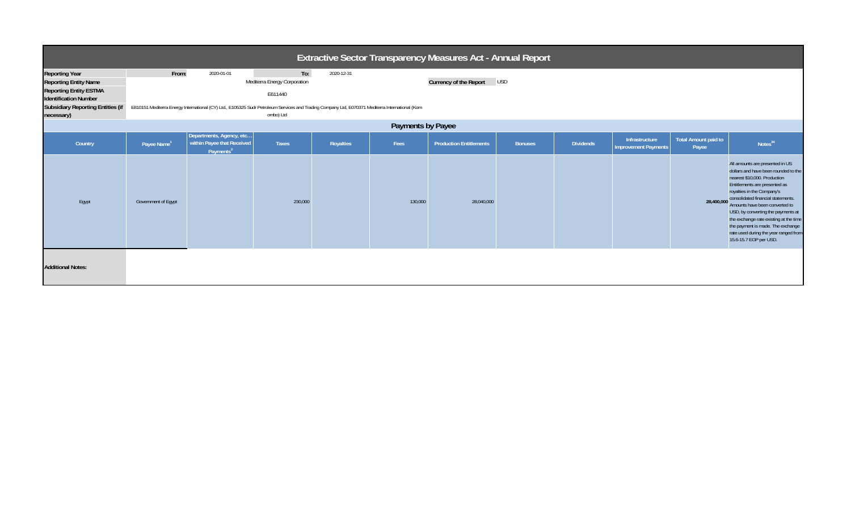| Extractive Sector Transparency Measures Act - Annual Report                                                                                                                      |                                                                                                                                                                                                                                                                                                    |                                                                                 |              |           |         |                                |                |                  |                                               |                               |                                                                                                                                                                                                                                                                                                                                                                                                                                        |
|----------------------------------------------------------------------------------------------------------------------------------------------------------------------------------|----------------------------------------------------------------------------------------------------------------------------------------------------------------------------------------------------------------------------------------------------------------------------------------------------|---------------------------------------------------------------------------------|--------------|-----------|---------|--------------------------------|----------------|------------------|-----------------------------------------------|-------------------------------|----------------------------------------------------------------------------------------------------------------------------------------------------------------------------------------------------------------------------------------------------------------------------------------------------------------------------------------------------------------------------------------------------------------------------------------|
| <b>Reporting Year</b><br><b>Reporting Entity Name</b><br><b>Reporting Entity ESTMA</b><br><b>Identification Number</b><br><b>Subsidiary Reporting Entities (if</b><br>necessary) | From:<br>To:<br>2020-01-01<br>2020-12-31<br><b>Currency of the Report</b><br>Mediterra Energy Corporation<br><b>USD</b><br>E611440<br>E810151 Mediterra Energy International (CY) Ltd., E105325 Sudr Petroleum Services and Trading Company Ltd, E070371 Mediterra International (Kom<br>ombo) Ltd |                                                                                 |              |           |         |                                |                |                  |                                               |                               |                                                                                                                                                                                                                                                                                                                                                                                                                                        |
| Payments by Payee                                                                                                                                                                |                                                                                                                                                                                                                                                                                                    |                                                                                 |              |           |         |                                |                |                  |                                               |                               |                                                                                                                                                                                                                                                                                                                                                                                                                                        |
| Country                                                                                                                                                                          | Payee Name <sup>1</sup>                                                                                                                                                                                                                                                                            | Departments, Agency, etc<br>within Payee that Received<br>Payments <sup>2</sup> | <b>Taxes</b> | Royalties | Fees    | <b>Production Entitlements</b> | <b>Bonuses</b> | <b>Dividends</b> | Infrastructure<br><b>Improvement Payments</b> | Total Amount paid to<br>Payee | Notes <sup>34</sup>                                                                                                                                                                                                                                                                                                                                                                                                                    |
| Egypt                                                                                                                                                                            | Government of Egypt                                                                                                                                                                                                                                                                                |                                                                                 | 230,000      |           | 130,000 | 28,040,000                     |                |                  |                                               | 28,400,000                    | All amounts are presented in US<br>dollars and have been rounded to the<br>nearest \$10,000. Production<br>Entitlements are presented as<br>royalties in the Company's<br>consolidated financial statements.<br>Amounts have been converted to<br>USD, by converting the payments at<br>the exchange rate existing at the time<br>the payment is made. The exchange<br>rate used during the year ranged from<br>15.6-15.7 EGP per USD. |
| <b>Additional Notes:</b>                                                                                                                                                         |                                                                                                                                                                                                                                                                                                    |                                                                                 |              |           |         |                                |                |                  |                                               |                               |                                                                                                                                                                                                                                                                                                                                                                                                                                        |